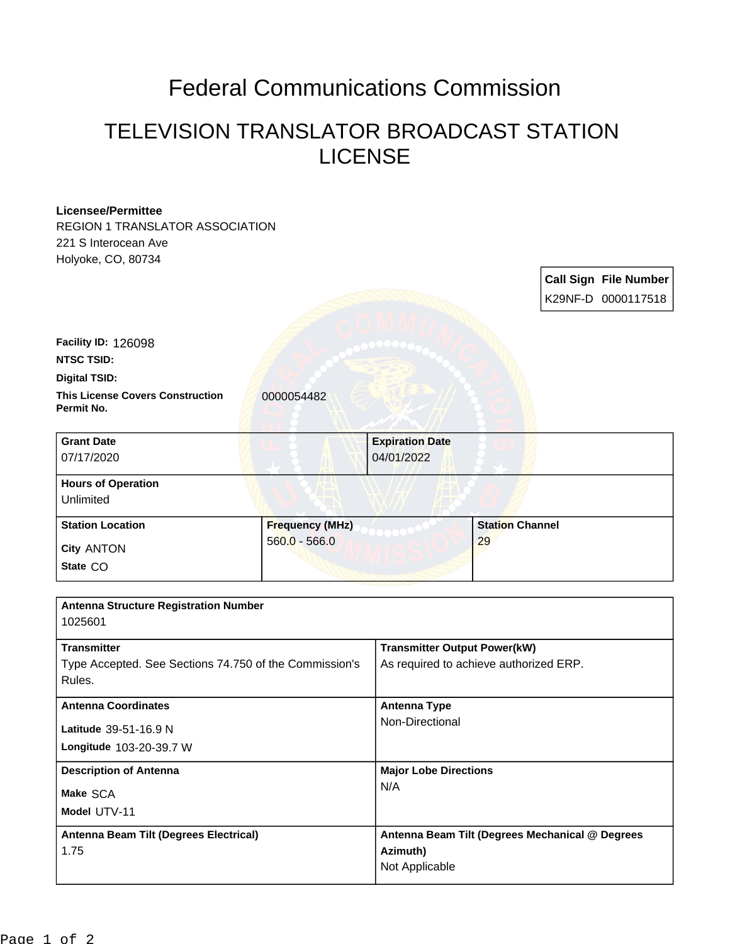## Federal Communications Commission

## TELEVISION TRANSLATOR BROADCAST STATION LICENSE

## **Licensee/Permittee**

REGION 1 TRANSLATOR ASSOCIATION 221 S Interocean Ave Holyoke, CO, 80734

| zz'i 5 interocean Ave<br>Holyoke, CO, 80734            |                        |                                                                               |                        |  |                              |
|--------------------------------------------------------|------------------------|-------------------------------------------------------------------------------|------------------------|--|------------------------------|
|                                                        |                        |                                                                               |                        |  | <b>Call Sign File Number</b> |
|                                                        |                        |                                                                               |                        |  | K29NF-D 0000117518           |
| Facility ID: 126098                                    |                        |                                                                               |                        |  |                              |
| <b>NTSC TSID:</b>                                      |                        |                                                                               |                        |  |                              |
| <b>Digital TSID:</b>                                   |                        |                                                                               |                        |  |                              |
| <b>This License Covers Construction</b><br>Permit No.  | 0000054482             |                                                                               |                        |  |                              |
| <b>Grant Date</b><br>07/17/2020                        |                        | <b>Expiration Date</b><br>04/01/2022                                          |                        |  |                              |
| <b>Hours of Operation</b><br>Unlimited                 |                        |                                                                               |                        |  |                              |
| <b>Station Location</b>                                | <b>Frequency (MHz)</b> |                                                                               | <b>Station Channel</b> |  |                              |
| City ANTON                                             | $560.0 - 566.0$        |                                                                               | 29                     |  |                              |
| State CO                                               |                        |                                                                               |                        |  |                              |
| <b>Antenna Structure Registration Number</b>           |                        |                                                                               |                        |  |                              |
| 1025601                                                |                        |                                                                               |                        |  |                              |
| <b>Transmitter</b>                                     |                        | <b>Transmitter Output Power(kW)</b><br>As required to achieve authorized ERP. |                        |  |                              |
| Type Accepted. See Sections 74.750 of the Commission's |                        |                                                                               |                        |  |                              |
| Rules.                                                 |                        |                                                                               |                        |  |                              |
| <b>Antenna Coordinates</b>                             |                        | <b>Antenna Type</b>                                                           |                        |  |                              |
| Latitude 39-51-16.9 N                                  |                        | Non-Directional                                                               |                        |  |                              |
| Longitude 103-20-39.7 W                                |                        |                                                                               |                        |  |                              |
| <b>Description of Antenna</b><br>Make SCA              |                        | <b>Major Lobe Directions</b>                                                  |                        |  |                              |
|                                                        |                        | N/A                                                                           |                        |  |                              |
| Model UTV-11                                           |                        |                                                                               |                        |  |                              |
| Antenna Beam Tilt (Degrees Electrical)                 |                        | Antenna Beam Tilt (Degrees Mechanical @ Degrees                               |                        |  |                              |
| 1.75                                                   |                        | Azimuth)                                                                      |                        |  |                              |
|                                                        |                        | Not Applicable                                                                |                        |  |                              |